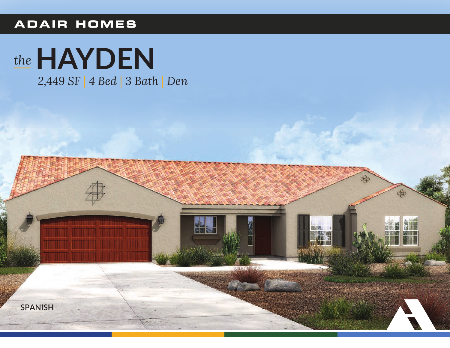## ADAIR HOMES



2,449 SF | 4 Bed | 3 Bath | Den

 $\frac{1}{2}$